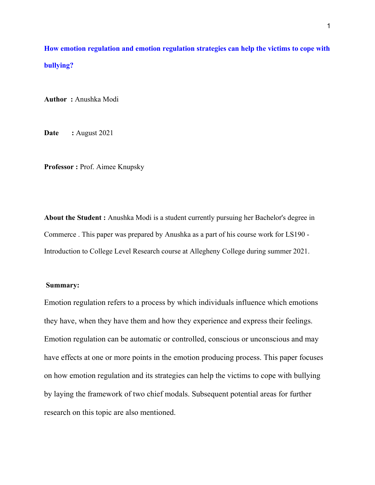How emotion regulation and emotion regulation strategies can help the victims to cope with bullying?

Author : Anushka Modi

Date : August 2021

Professor : Prof. Aimee Knupsky

About the Student : Anushka Modi is a student currently pursuing her Bachelor's degree in Commerce . This paper was prepared by Anushka as a part of his course work for LS190 - Introduction to College Level Research course at Allegheny College during summer 2021.

### Summary:

Emotion regulation refers to a process by which individuals influence which emotions they have, when they have them and how they experience and express their feelings. Emotion regulation can be automatic or controlled, conscious or unconscious and may have effects at one or more points in the emotion producing process. This paper focuses on how emotion regulation and its strategies can help the victims to cope with bullying by laying the framework of two chief modals. Subsequent potential areas for further research on this topic are also mentioned.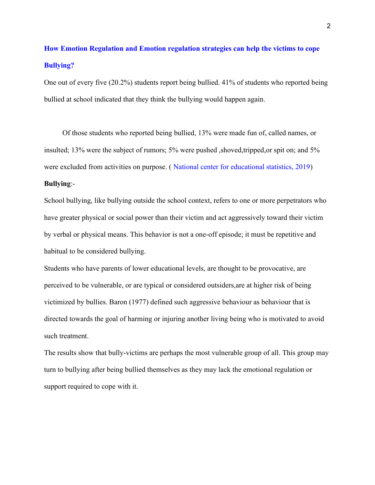# How Emotion Regulation and Emotion regulation strategies can help the victims to cope Bullying?

One out of every five (20.2%) students report being bullied. 41% of students who reported being bullied at school indicated that they think the bullying would happen again.

 Of those students who reported being bullied, 13% were made fun of, called names, or insulted; 13% were the subject of rumors; 5% were pushed ,shoved,tripped,or spit on; and 5% were excluded from activities on purpose. ( National center for educational statistics, 2019)

## Bullying:-

School bullying, like bullying outside the school context, refers to one or more perpetrators who have greater physical or social power than their victim and act aggressively toward their victim by verbal or physical means. This behavior is not a one-off episode; it must be repetitive and habitual to be considered bullying.

Students who have parents of lower educational levels, are thought to be provocative, are perceived to be vulnerable, or are typical or considered outsiders,are at higher risk of being victimized by bullies. Baron (1977) defined such aggressive behaviour as behaviour that is directed towards the goal of harming or injuring another living being who is motivated to avoid such treatment.

The results show that bully-victims are perhaps the most vulnerable group of all. This group may turn to bullying after being bullied themselves as they may lack the emotional regulation or support required to cope with it.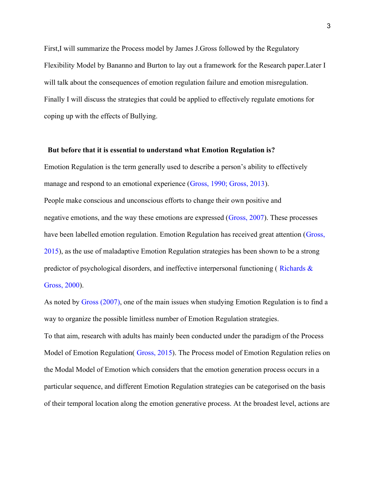First,I will summarize the Process model by James J.Gross followed by the Regulatory Flexibility Model by Bananno and Burton to lay out a framework for the Research paper.Later I will talk about the consequences of emotion regulation failure and emotion misregulation. Finally I will discuss the strategies that could be applied to effectively regulate emotions for coping up with the effects of Bullying.

#### But before that it is essential to understand what Emotion Regulation is?

Emotion Regulation is the term generally used to describe a person's ability to effectively manage and respond to an emotional experience (Gross, 1990; Gross, 2013). People make conscious and unconscious efforts to change their own positive and negative emotions, and the way these emotions are expressed (Gross, 2007). These processes have been labelled emotion regulation. Emotion Regulation has received great attention (Gross, 2015), as the use of maladaptive Emotion Regulation strategies has been shown to be a strong predictor of psychological disorders, and ineffective interpersonal functioning ( Richards & Gross, 2000).

As noted by Gross (2007), one of the main issues when studying Emotion Regulation is to find a way to organize the possible limitless number of Emotion Regulation strategies. To that aim, research with adults has mainly been conducted under the paradigm of the Process Model of Emotion Regulation( Gross, 2015). The Process model of Emotion Regulation relies on the Modal Model of Emotion which considers that the emotion generation process occurs in a particular sequence, and different Emotion Regulation strategies can be categorised on the basis of their temporal location along the emotion generative process. At the broadest level, actions are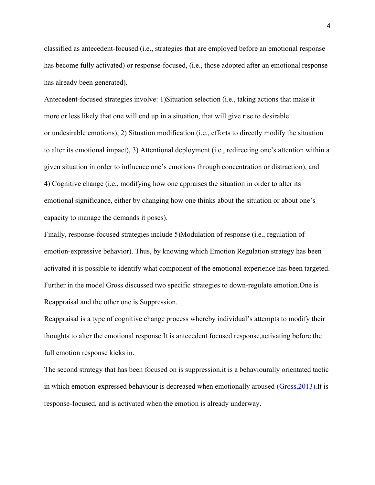classified as antecedent-focused (i.e., strategies that are employed before an emotional response has become fully activated) or response-focused, (i.e., those adopted after an emotional response has already been generated).

Antecedent-focused strategies involve: 1)Situation selection (i.e., taking actions that make it more or less likely that one will end up in a situation, that will give rise to desirable or undesirable emotions), 2) Situation modification (i.e., efforts to directly modify the situation to alter its emotional impact), 3) Attentional deployment (i.e., redirecting one's attention within a given situation in order to influence one's emotions through concentration or distraction), and 4) Cognitive change (i.e., modifying how one appraises the situation in order to alter its emotional significance, either by changing how one thinks about the situation or about one's capacity to manage the demands it poses).

Finally, response-focused strategies include 5)Modulation of response (i.e., regulation of emotion-expressive behavior). Thus, by knowing which Emotion Regulation strategy has been activated it is possible to identify what component of the emotional experience has been targeted. Further in the model Gross discussed two specific strategies to down-regulate emotion.One is Reappraisal and the other one is Suppression.

Reappraisal is a type of cognitive change process whereby individual's attempts to modify their thoughts to alter the emotional response.It is antecedent focused response,activating before the full emotion response kicks in.

The second strategy that has been focused on is suppression,it is a behaviourally orientated tactic in which emotion-expressed behaviour is decreased when emotionally aroused (Gross,2013).It is response-focused, and is activated when the emotion is already underway.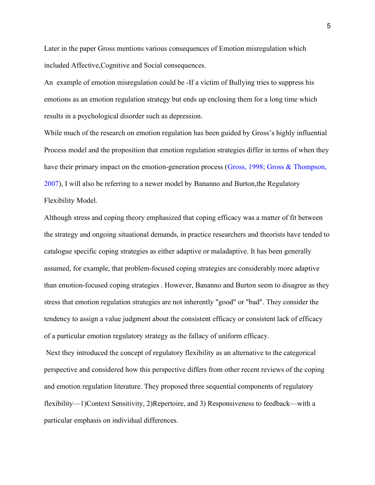Later in the paper Gross mentions various consequences of Emotion misregulation which included Affective,Cognitive and Social consequences.

An example of emotion misregulation could be -If a victim of Bullying tries to suppress his emotions as an emotion regulation strategy but ends up enclosing them for a long time which results in a psychological disorder such as depression.

While much of the research on emotion regulation has been guided by Gross's highly influential Process model and the proposition that emotion regulation strategies differ in terms of when they have their primary impact on the emotion-generation process (Gross, 1998; Gross & Thompson, 2007), I will also be referring to a newer model by Bananno and Burton,the Regulatory Flexibility Model.

Although stress and coping theory emphasized that coping efficacy was a matter of fit between the strategy and ongoing situational demands, in practice researchers and theorists have tended to catalogue specific coping strategies as either adaptive or maladaptive. It has been generally assumed, for example, that problem-focused coping strategies are considerably more adaptive than emotion-focused coping strategies . However, Bananno and Burton seem to disagree as they stress that emotion regulation strategies are not inherently "good" or "bad". They consider the tendency to assign a value judgment about the consistent efficacy or consistent lack of efficacy of a particular emotion regulatory strategy as the fallacy of uniform efficacy.

 Next they introduced the concept of regulatory flexibility as an alternative to the categorical perspective and considered how this perspective differs from other recent reviews of the coping and emotion regulation literature. They proposed three sequential components of regulatory flexibility—1)Context Sensitivity, 2)Repertoire, and 3) Responsiveness to feedback—with a particular emphasis on individual differences.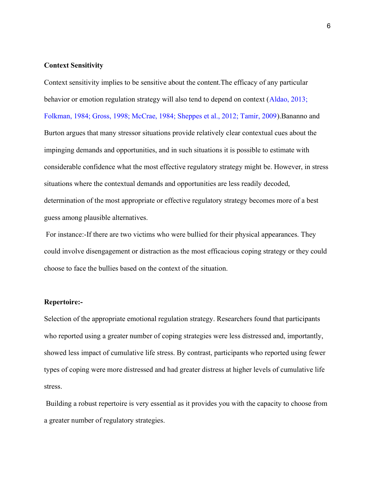## Context Sensitivity

Context sensitivity implies to be sensitive about the content.The efficacy of any particular behavior or emotion regulation strategy will also tend to depend on context (Aldao, 2013; Folkman, 1984; Gross, 1998; McCrae, 1984; Sheppes et al., 2012; Tamir, 2009).Bananno and Burton argues that many stressor situations provide relatively clear contextual cues about the impinging demands and opportunities, and in such situations it is possible to estimate with considerable confidence what the most effective regulatory strategy might be. However, in stress situations where the contextual demands and opportunities are less readily decoded, determination of the most appropriate or effective regulatory strategy becomes more of a best guess among plausible alternatives.

 For instance:-If there are two victims who were bullied for their physical appearances. They could involve disengagement or distraction as the most efficacious coping strategy or they could choose to face the bullies based on the context of the situation.

#### Repertoire:-

Selection of the appropriate emotional regulation strategy. Researchers found that participants who reported using a greater number of coping strategies were less distressed and, importantly, showed less impact of cumulative life stress. By contrast, participants who reported using fewer types of coping were more distressed and had greater distress at higher levels of cumulative life stress.

 Building a robust repertoire is very essential as it provides you with the capacity to choose from a greater number of regulatory strategies.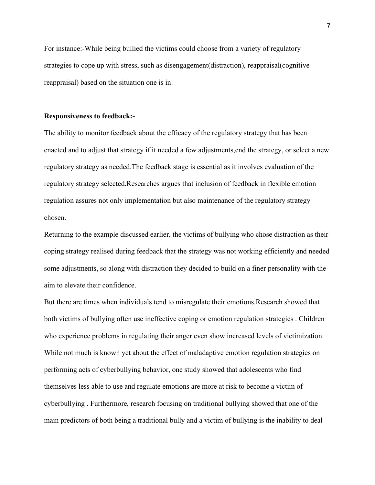For instance:-While being bullied the victims could choose from a variety of regulatory strategies to cope up with stress, such as disengagement(distraction), reappraisal(cognitive reappraisal) based on the situation one is in.

#### Responsiveness to feedback:-

The ability to monitor feedback about the efficacy of the regulatory strategy that has been enacted and to adjust that strategy if it needed a few adjustments,end the strategy, or select a new regulatory strategy as needed.The feedback stage is essential as it involves evaluation of the regulatory strategy selected.Researches argues that inclusion of feedback in flexible emotion regulation assures not only implementation but also maintenance of the regulatory strategy chosen.

Returning to the example discussed earlier, the victims of bullying who chose distraction as their coping strategy realised during feedback that the strategy was not working efficiently and needed some adjustments, so along with distraction they decided to build on a finer personality with the aim to elevate their confidence.

But there are times when individuals tend to misregulate their emotions.Research showed that both victims of bullying often use ineffective coping or emotion regulation strategies . Children who experience problems in regulating their anger even show increased levels of victimization. While not much is known yet about the effect of maladaptive emotion regulation strategies on performing acts of cyberbullying behavior, one study showed that adolescents who find themselves less able to use and regulate emotions are more at risk to become a victim of cyberbullying . Furthermore, research focusing on traditional bullying showed that one of the main predictors of both being a traditional bully and a victim of bullying is the inability to deal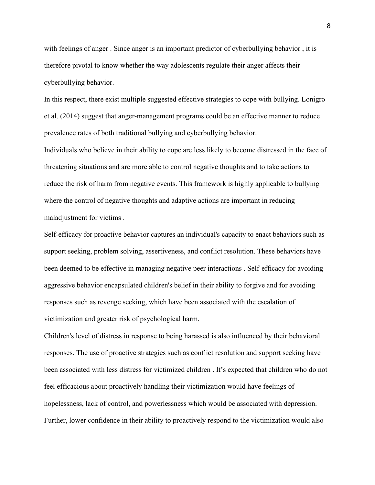with feelings of anger . Since anger is an important predictor of cyberbullying behavior , it is therefore pivotal to know whether the way adolescents regulate their anger affects their cyberbullying behavior.

In this respect, there exist multiple suggested effective strategies to cope with bullying. Lonigro et al. (2014) suggest that anger-management programs could be an effective manner to reduce prevalence rates of both traditional bullying and cyberbullying behavior.

Individuals who believe in their ability to cope are less likely to become distressed in the face of threatening situations and are more able to control negative thoughts and to take actions to reduce the risk of harm from negative events. This framework is highly applicable to bullying where the control of negative thoughts and adaptive actions are important in reducing maladjustment for victims .

Self-efficacy for proactive behavior captures an individual's capacity to enact behaviors such as support seeking, problem solving, assertiveness, and conflict resolution. These behaviors have been deemed to be effective in managing negative peer interactions . Self-efficacy for avoiding aggressive behavior encapsulated children's belief in their ability to forgive and for avoiding responses such as revenge seeking, which have been associated with the escalation of victimization and greater risk of psychological harm.

Children's level of distress in response to being harassed is also influenced by their behavioral responses. The use of proactive strategies such as conflict resolution and support seeking have been associated with less distress for victimized children . It's expected that children who do not feel efficacious about proactively handling their victimization would have feelings of hopelessness, lack of control, and powerlessness which would be associated with depression. Further, lower confidence in their ability to proactively respond to the victimization would also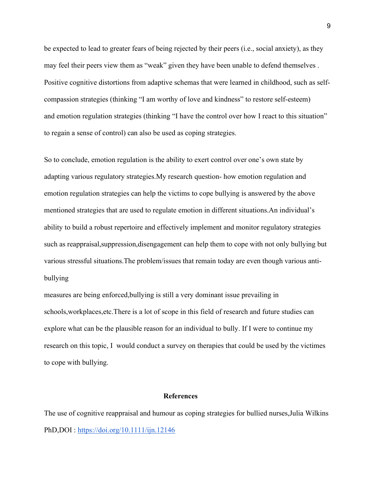be expected to lead to greater fears of being rejected by their peers (i.e., social anxiety), as they may feel their peers view them as "weak" given they have been unable to defend themselves . Positive cognitive distortions from adaptive schemas that were learned in childhood, such as selfcompassion strategies (thinking "I am worthy of love and kindness" to restore self-esteem) and emotion regulation strategies (thinking "I have the control over how I react to this situation" to regain a sense of control) can also be used as coping strategies.

So to conclude, emotion regulation is the ability to exert control over one's own state by adapting various regulatory strategies.My research question- how emotion regulation and emotion regulation strategies can help the victims to cope bullying is answered by the above mentioned strategies that are used to regulate emotion in different situations.An individual's ability to build a robust repertoire and effectively implement and monitor regulatory strategies such as reappraisal,suppression,disengagement can help them to cope with not only bullying but various stressful situations.The problem/issues that remain today are even though various antibullying

measures are being enforced,bullying is still a very dominant issue prevailing in schools,workplaces,etc.There is a lot of scope in this field of research and future studies can explore what can be the plausible reason for an individual to bully. If I were to continue my research on this topic, I would conduct a survey on therapies that could be used by the victimes to cope with bullying.

#### **References**

The use of cognitive reappraisal and humour as coping strategies for bullied nurses,Julia Wilkins PhD,DOI : https://doi.org/10.1111/ijn.12146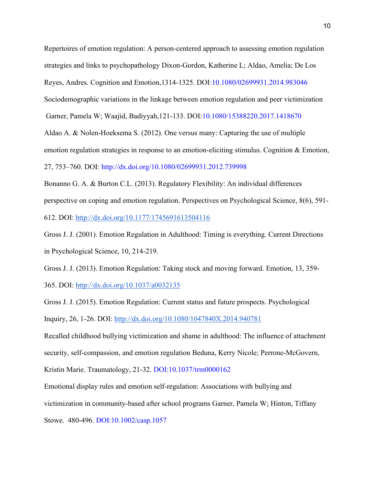Repertoires of emotion regulation: A person-centered approach to assessing emotion regulation strategies and links to psychopathology Dixon-Gordon, Katherine L; Aldao, Amelia; De Los Reyes, Andres. Cognition and Emotion,1314-1325. DOI:10.1080/02699931.2014.983046 Sociodemographic variations in the linkage between emotion regulation and peer victimization Garner, Pamela W; Waajid, Badiyyah,121-133. DOI:10.1080/15388220.2017.1418670 Aldao A. & Nolen-Hoeksema S. (2012). One versus many: Capturing the use of multiple emotion regulation strategies in response to an emotion-eliciting stimulus. Cognition & Emotion, 27, 753–760. DOI: http://dx.doi.org/10.1080/02699931.2012.739998

Bonanno G. A. & Burton C.L. (2013). Regulatory Flexibility: An individual differences perspective on coping and emotion regulation. Perspectives on Psychological Science, 8(6), 591- 612. DOI: http://dx.doi.org/10.1177/1745691613504116

Gross J. J. (2001). Emotion Regulation in Adulthood: Timing is everything. Current Directions in Psychological Science, 10, 214-219.

Gross J. J. (2013). Emotion Regulation: Taking stock and moving forward. Emotion, 13, 359- 365. DOI: http://dx.doi.org/10.1037/a0032135

Gross J. J. (2015). Emotion Regulation: Current status and future prospects. Psychological Inquiry, 26, 1-26. DOI: http://dx.doi.org/10.1080/1047840X.2014.940781

Recalled childhood bullying victimization and shame in adulthood: The influence of attachment security, self-compassion, and emotion regulation Beduna, Kerry Nicole; Perrone-McGovern,

Kristin Marie. Traumatology, 21-32. DOI:10.1037/trm0000162

Emotional display rules and emotion self-regulation: Associations with bullying and victimization in community-based after school programs Garner, Pamela W; Hinton, Tiffany Stowe. 480-496. DOI:10.1002/casp.1057